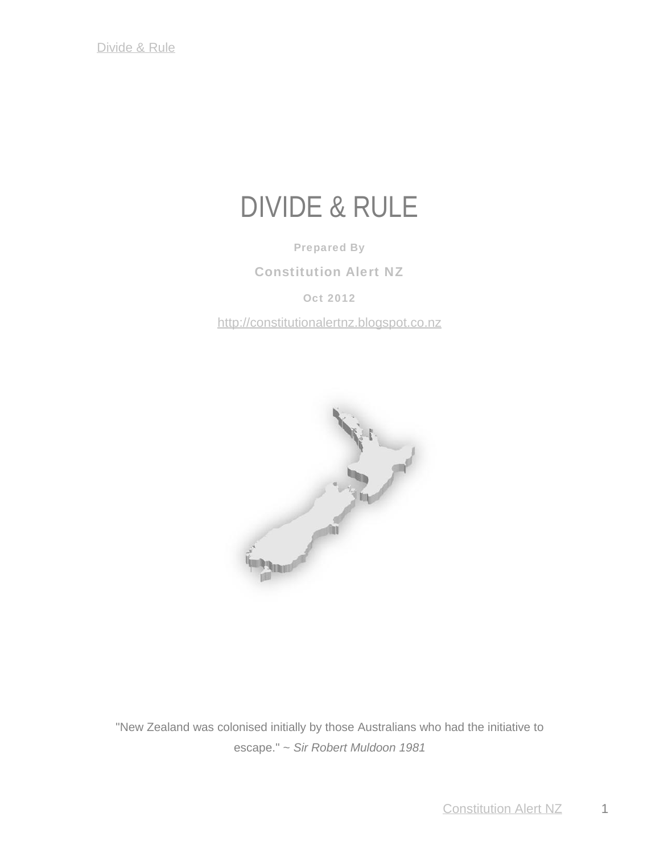# DIVIDE & RULE

**Prepared By**

**Constitution Alert NZ**

**Oct 2012**

http://constitutionalertnz.blogspot.co.nz



"New Zealand was colonised initially by those Australians who had the initiative to escape." ~ *Sir Robert Muldoon 1981*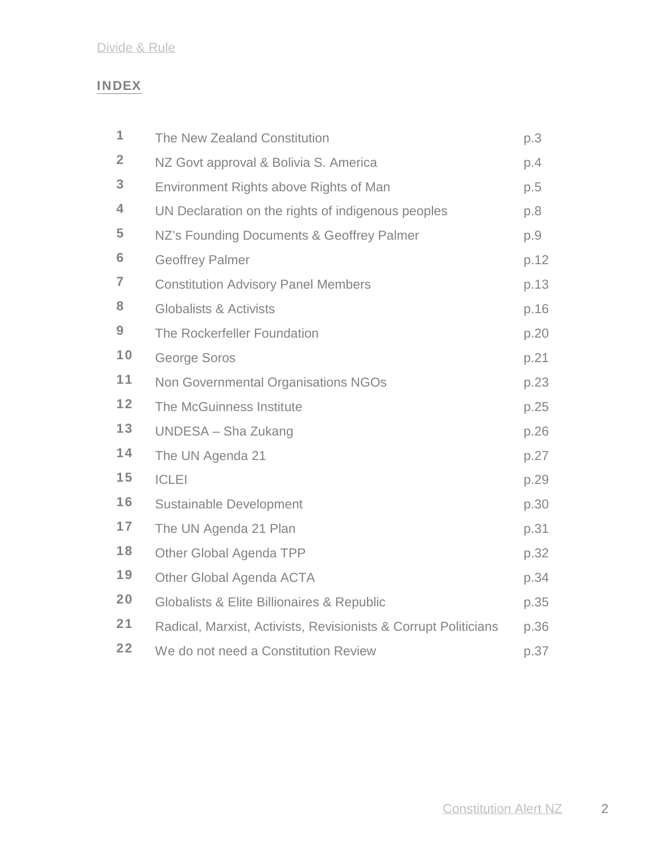# **INDEX**

| 1              | The New Zealand Constitution                                    | p.3  |
|----------------|-----------------------------------------------------------------|------|
| $\overline{2}$ | NZ Govt approval & Bolivia S. America                           | p.4  |
| 3              | Environment Rights above Rights of Man                          | p.5  |
| 4              | UN Declaration on the rights of indigenous peoples              | p.8  |
| 5              | NZ's Founding Documents & Geoffrey Palmer                       | p.9  |
| 6              | <b>Geoffrey Palmer</b>                                          | p.12 |
| 7              | <b>Constitution Advisory Panel Members</b>                      | p.13 |
| 8              | <b>Globalists &amp; Activists</b>                               | p.16 |
| 9              | The Rockerfeller Foundation                                     | p.20 |
| 10             | George Soros                                                    | p.21 |
| 11             | Non Governmental Organisations NGOs                             | p.23 |
| 12             | The McGuinness Institute                                        | p.25 |
| 13             | UNDESA - Sha Zukang                                             | p.26 |
| 14             | The UN Agenda 21                                                | p.27 |
| 15             | <b>ICLEI</b>                                                    | p.29 |
| 16             | <b>Sustainable Development</b>                                  | p.30 |
| 17             | The UN Agenda 21 Plan                                           | p.31 |
| 18             | Other Global Agenda TPP                                         | p.32 |
| 19             | Other Global Agenda ACTA                                        | p.34 |
| 20             | Globalists & Elite Billionaires & Republic                      | p.35 |
| 21             | Radical, Marxist, Activists, Revisionists & Corrupt Politicians | p.36 |
| 22             | We do not need a Constitution Review                            | p.37 |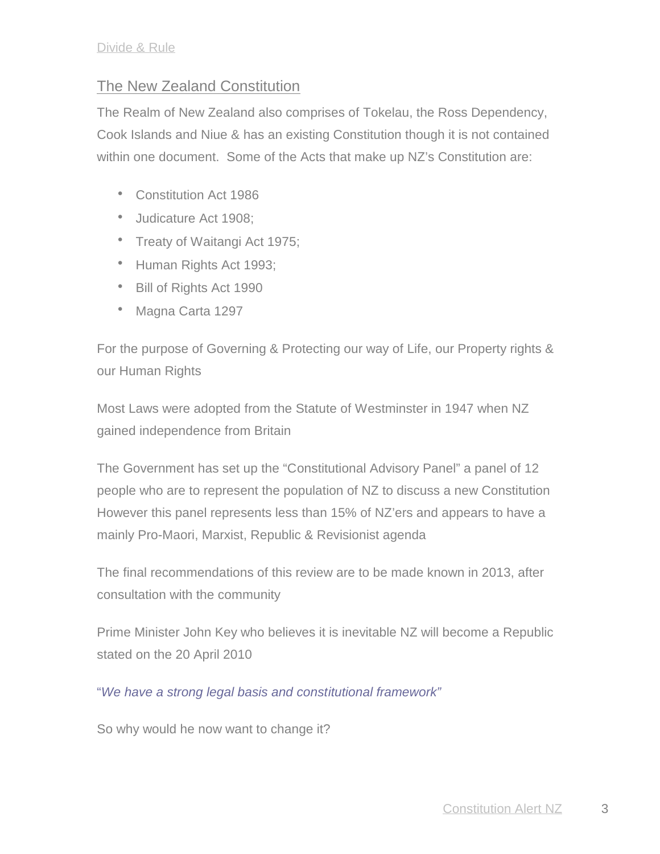# The New Zealand Constitution

The Realm of New Zealand also comprises of Tokelau, the Ross Dependency, Cook Islands and Niue & has an existing Constitution though it is not contained within one document. Some of the Acts that make up NZ's Constitution are:

- Constitution Act 1986
- Judicature Act 1908;
- Treaty of Waitangi Act 1975;
- Human Rights Act 1993;
- Bill of Rights Act 1990
- Magna Carta 1297

For the purpose of Governing & Protecting our way of Life, our Property rights & our Human Rights

Most Laws were adopted from the Statute of Westminster in 1947 when NZ gained independence from Britain

The Government has set up the "Constitutional Advisory Panel" a panel of 12 people who are to represent the population of NZ to discuss a new Constitution However this panel represents less than 15% of NZ'ers and appears to have a mainly Pro-Maori, Marxist, Republic & Revisionist agenda

The final recommendations of this review are to be made known in 2013, after consultation with the community

Prime Minister John Key who believes it is inevitable NZ will become a Republic stated on the 20 April 2010

"*We have a strong legal basis and constitutional framework"*

So why would he now want to change it?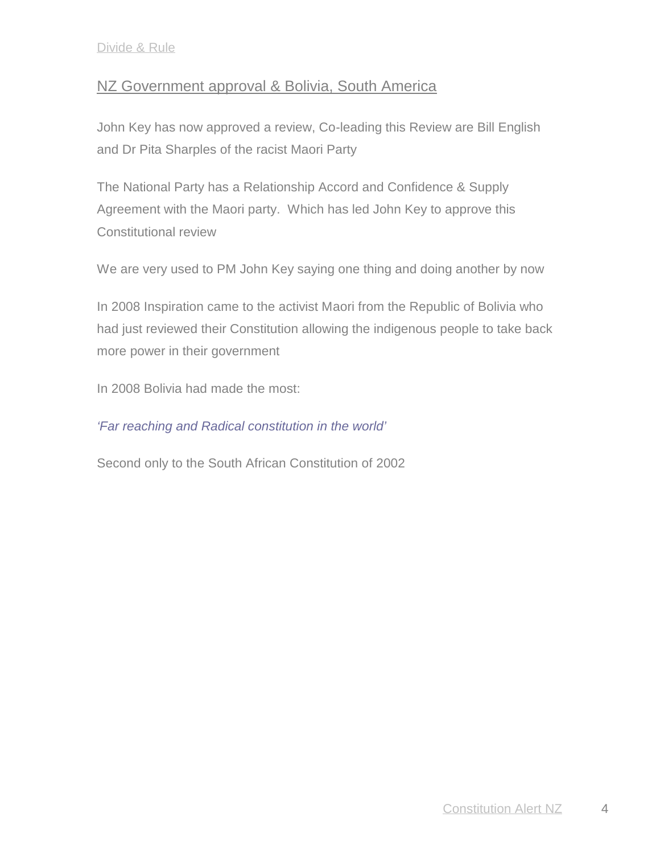# NZ Government approval & Bolivia, South America

John Key has now approved a review, Co-leading this Review are Bill English and Dr Pita Sharples of the racist Maori Party

The National Party has a Relationship Accord and Confidence & Supply Agreement with the Maori party. Which has led John Key to approve this Constitutional review

We are very used to PM John Key saying one thing and doing another by now

In 2008 Inspiration came to the activist Maori from the Republic of Bolivia who had just reviewed their Constitution allowing the indigenous people to take back more power in their government

In 2008 Bolivia had made the most:

## *'Far reaching and Radical constitution in the world'*

Second only to the South African Constitution of 2002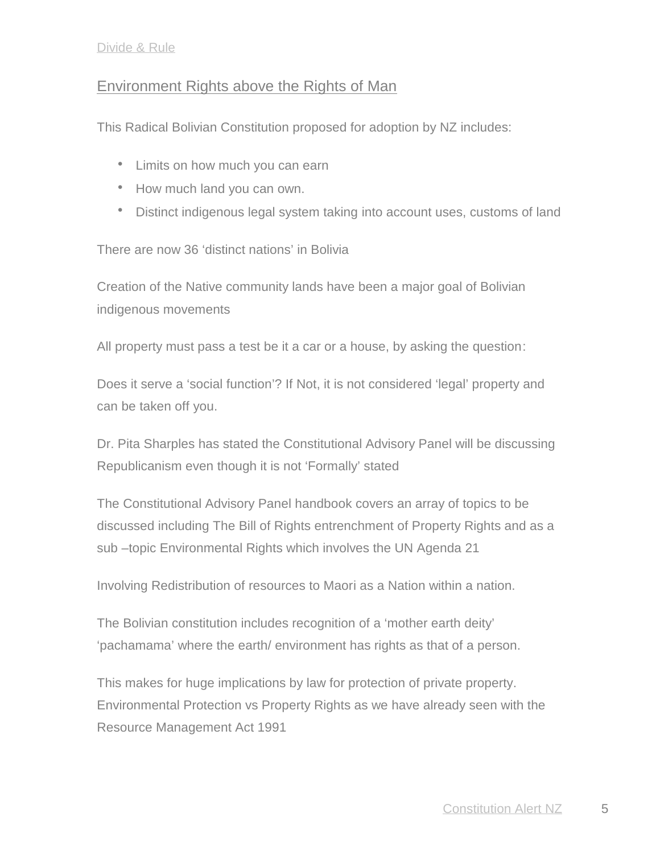## Environment Rights above the Rights of Man

This Radical Bolivian Constitution proposed for adoption by NZ includes:

- Limits on how much you can earn
- How much land you can own.
- Distinct indigenous legal system taking into account uses, customs of land

There are now 36 'distinct nations' in Bolivia

Creation of the Native community lands have been a major goal of Bolivian indigenous movements

All property must pass a test be it a car or a house, by asking the question:

Does it serve a 'social function'? If Not, it is not considered 'legal' property and can be taken off you.

Dr. Pita Sharples has stated the Constitutional Advisory Panel will be discussing Republicanism even though it is not 'Formally' stated

The Constitutional Advisory Panel handbook covers an array of topics to be discussed including The Bill of Rights entrenchment of Property Rights and as a sub –topic Environmental Rights which involves the UN Agenda 21

Involving Redistribution of resources to Maori as a Nation within a nation.

The Bolivian constitution includes recognition of a 'mother earth deity' 'pachamama' where the earth/ environment has rights as that of a person.

This makes for huge implications by law for protection of private property. Environmental Protection vs Property Rights as we have already seen with the Resource Management Act 1991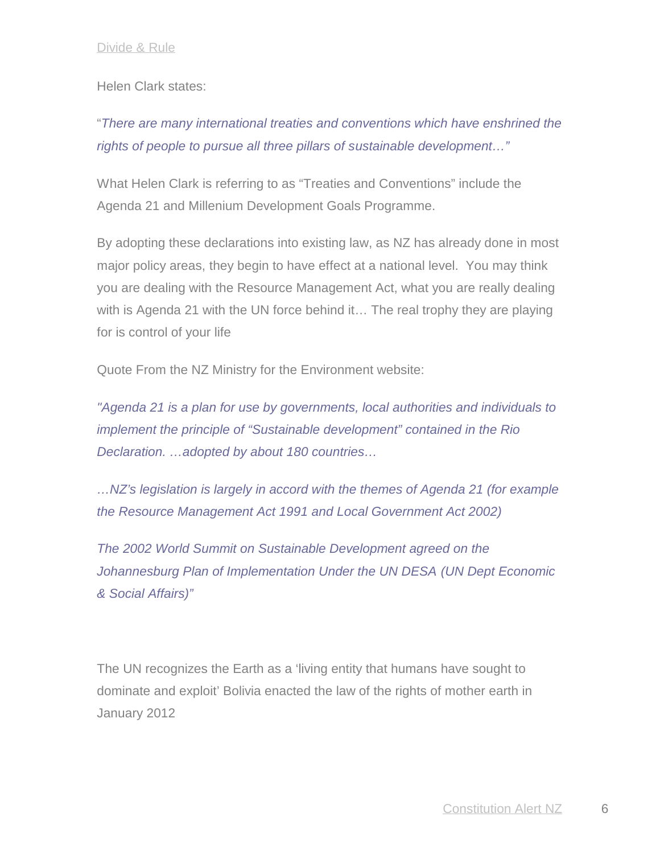## Helen Clark states:

# "*There are many international treaties and conventions which have enshrined the rights of people to pursue all three pillars of sustainable development…"*

What Helen Clark is referring to as "Treaties and Conventions" include the Agenda 21 and Millenium Development Goals Programme.

By adopting these declarations into existing law, as NZ has already done in most major policy areas, they begin to have effect at a national level. You may think you are dealing with the Resource Management Act, what you are really dealing with is Agenda 21 with the UN force behind it… The real trophy they are playing for is control of your life

Quote From the NZ Ministry for the Environment website:

*"Agenda 21 is a plan for use by governments, local authorities and individuals to implement the principle of "Sustainable development" contained in the Rio Declaration. …adopted by about 180 countries…*

*…NZ's legislation is largely in accord with the themes of Agenda 21 (for example the Resource Management Act 1991 and Local Government Act 2002)*

*The 2002 World Summit on Sustainable Development agreed on the Johannesburg Plan of Implementation Under the UN DESA (UN Dept Economic & Social Affairs)"*

The UN recognizes the Earth as a 'living entity that humans have sought to dominate and exploit' Bolivia enacted the law of the rights of mother earth in January 2012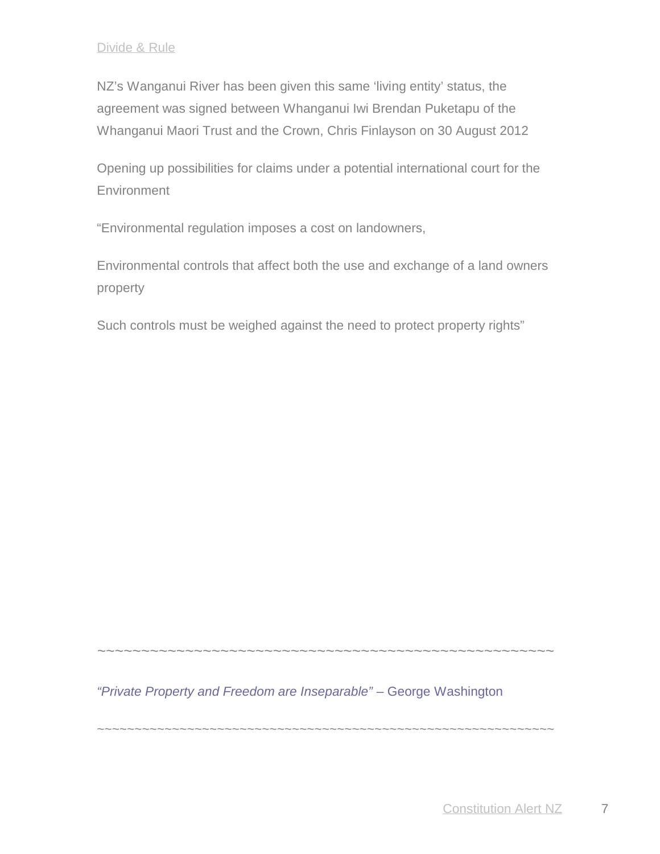NZ's Wanganui River has been given this same 'living entity' status, the agreement was signed between Whanganui Iwi Brendan Puketapu of the Whanganui Maori Trust and the Crown, Chris Finlayson on 30 August 2012

Opening up possibilities for claims under a potential international court for the **Environment** 

"Environmental regulation imposes a cost on landowners,

Environmental controls that affect both the use and exchange of a land owners property

Such controls must be weighed against the need to protect property rights"

*"Private Property and Freedom are Inseparable"* – George Washington

*~~~~~~~~~~~~~~~~~~~~~~~~~~~~~~~~~~~~~~~~~~~~~~~~~~~~*

~~~~~~~~~~~~~~~~~~~~~~~~~~~~~~~~~~~~~~~~~~~~~~~~~~~~~~~~~~~~~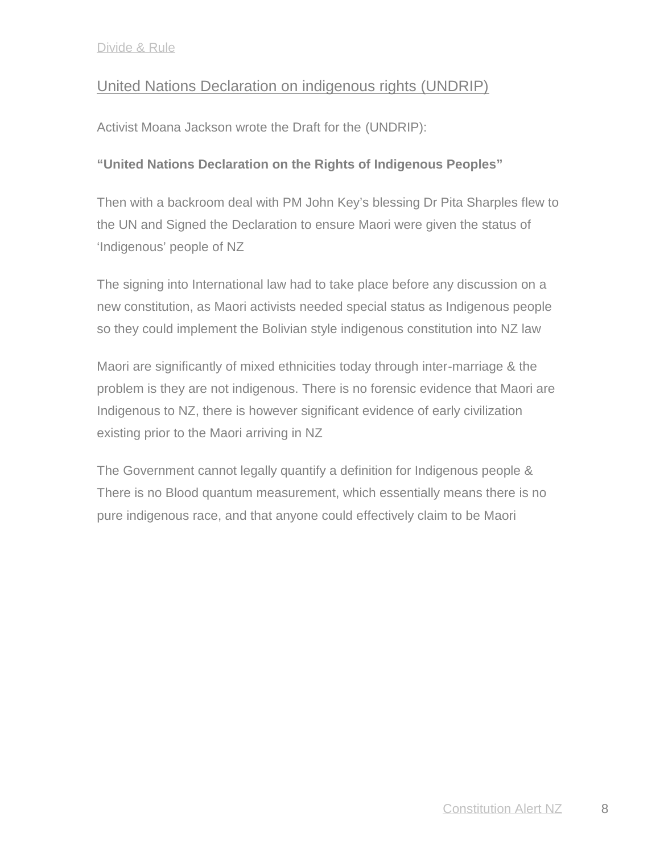# United Nations Declaration on indigenous rights (UNDRIP)

Activist Moana Jackson wrote the Draft for the (UNDRIP):

## **"United Nations Declaration on the Rights of Indigenous Peoples"**

Then with a backroom deal with PM John Key's blessing Dr Pita Sharples flew to the UN and Signed the Declaration to ensure Maori were given the status of 'Indigenous' people of NZ

The signing into International law had to take place before any discussion on a new constitution, as Maori activists needed special status as Indigenous people so they could implement the Bolivian style indigenous constitution into NZ law

Maori are significantly of mixed ethnicities today through inter-marriage & the problem is they are not indigenous. There is no forensic evidence that Maori are Indigenous to NZ, there is however significant evidence of early civilization existing prior to the Maori arriving in NZ

The Government cannot legally quantify a definition for Indigenous people & There is no Blood quantum measurement, which essentially means there is no pure indigenous race, and that anyone could effectively claim to be Maori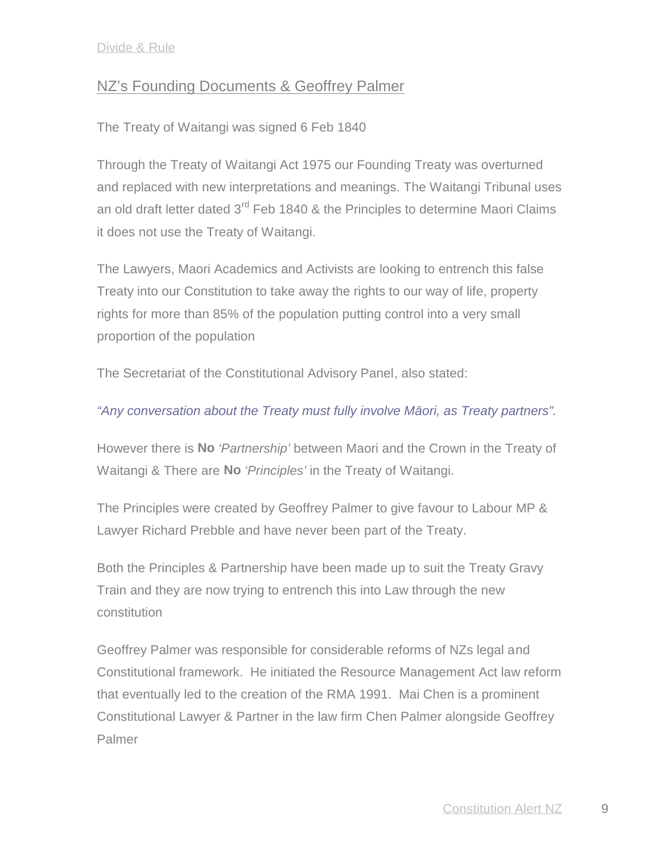# NZ's Founding Documents & Geoffrey Palmer

The Treaty of Waitangi was signed 6 Feb 1840

Through the Treaty of Waitangi Act 1975 our Founding Treaty was overturned and replaced with new interpretations and meanings. The Waitangi Tribunal uses an old draft letter dated  $3<sup>rd</sup>$  Feb 1840 & the Principles to determine Maori Claims it does not use the Treaty of Waitangi.

The Lawyers, Maori Academics and Activists are looking to entrench this false Treaty into our Constitution to take away the rights to our way of life, property rights for more than 85% of the population putting control into a very small proportion of the population

The Secretariat of the Constitutional Advisory Panel, also stated:

## "Any conversation about the Treaty must fully involve M ori, as Treaty partners".

However there is **No** *'Partnership'* between Maori and the Crown in the Treaty of Waitangi & There are **No** *'Principles'* in the Treaty of Waitangi.

The Principles were created by Geoffrey Palmer to give favour to Labour MP & Lawyer Richard Prebble and have never been part of the Treaty.

Both the Principles & Partnership have been made up to suit the Treaty Gravy Train and they are now trying to entrench this into Law through the new constitution

Geoffrey Palmer was responsible for considerable reforms of NZs legal and Constitutional framework. He initiated the Resource Management Act law reform that eventually led to the creation of the RMA 1991. Mai Chen is a prominent Constitutional Lawyer & Partner in the law firm Chen Palmer alongside Geoffrey Palmer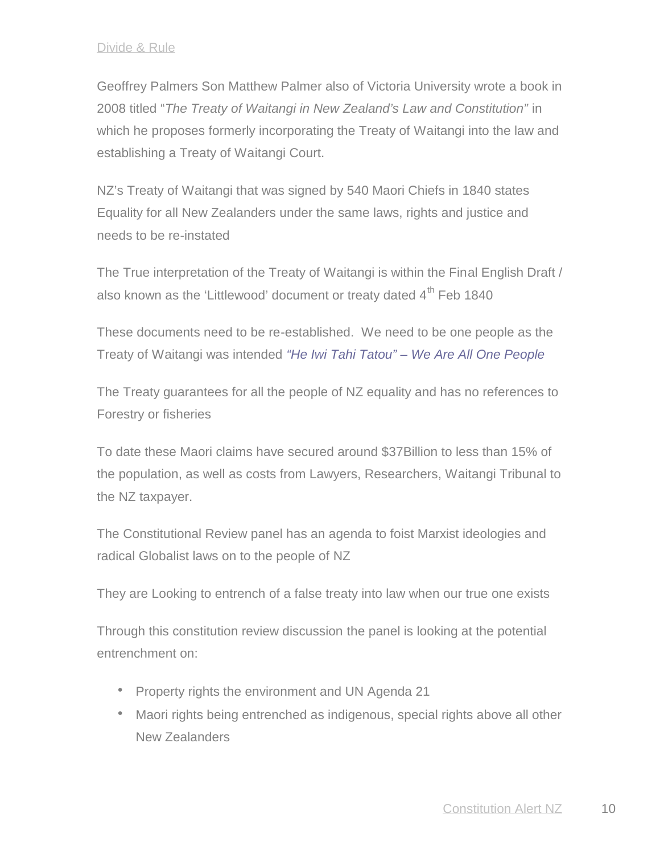Geoffrey Palmers Son Matthew Palmer also of Victoria University wrote a book in 2008 titled "*The Treaty of Waitangi in New Zealand's Law and Constitution"* in which he proposes formerly incorporating the Treaty of Waitangi into the law and establishing a Treaty of Waitangi Court.

NZ's Treaty of Waitangi that was signed by 540 Maori Chiefs in 1840 states Equality for all New Zealanders under the same laws, rights and justice and needs to be re-instated

The True interpretation of the Treaty of Waitangi is within the Final English Draft / also known as the 'Littlewood' document or treaty dated  $4<sup>th</sup>$  Feb 1840

These documents need to be re-established. We need to be one people as the Treaty of Waitangi was intended *"He Iwi Tahi Tatou" – We Are All One People*

The Treaty guarantees for all the people of NZ equality and has no references to Forestry or fisheries

To date these Maori claims have secured around \$37Billion to less than 15% of the population, as well as costs from Lawyers, Researchers, Waitangi Tribunal to the NZ taxpayer.

The Constitutional Review panel has an agenda to foist Marxist ideologies and radical Globalist laws on to the people of NZ

They are Looking to entrench of a false treaty into law when our true one exists

Through this constitution review discussion the panel is looking at the potential entrenchment on:

- Property rights the environment and UN Agenda 21
- Maori rights being entrenched as indigenous, special rights above all other New Zealanders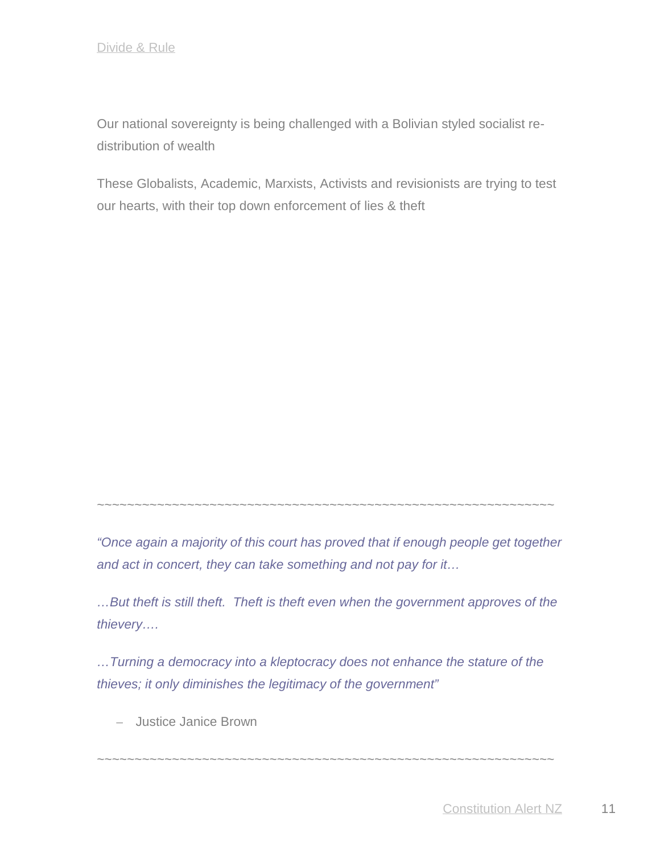Our national sovereignty is being challenged with a Bolivian styled socialist re distribution of wealth

These Globalists, Academic, Marxists, Activists and revisionists are trying to test our hearts, with their top down enforcement of lies & theft

~~~~~~~~~~~~~~~~~~~~~~~~~~~~~~~~~~~~~~~~~~~~~~~~~~~~~~~~~~~~~

*"Once again a majority of this court has proved that if enough people get together and act in concert, they can take something and not pay for it…*

*…But theft is still theft. Theft is theft even when the government approves of the thievery….*

*…Turning a democracy into a kleptocracy does not enhance the stature of the thieves; it only diminishes the legitimacy of the government"*

~~~~~~~~~~~~~~~~~~~~~~~~~~~~~~~~~~~~~~~~~~~~~~~~~~~~~~~~~~~~~

– Justice Janice Brown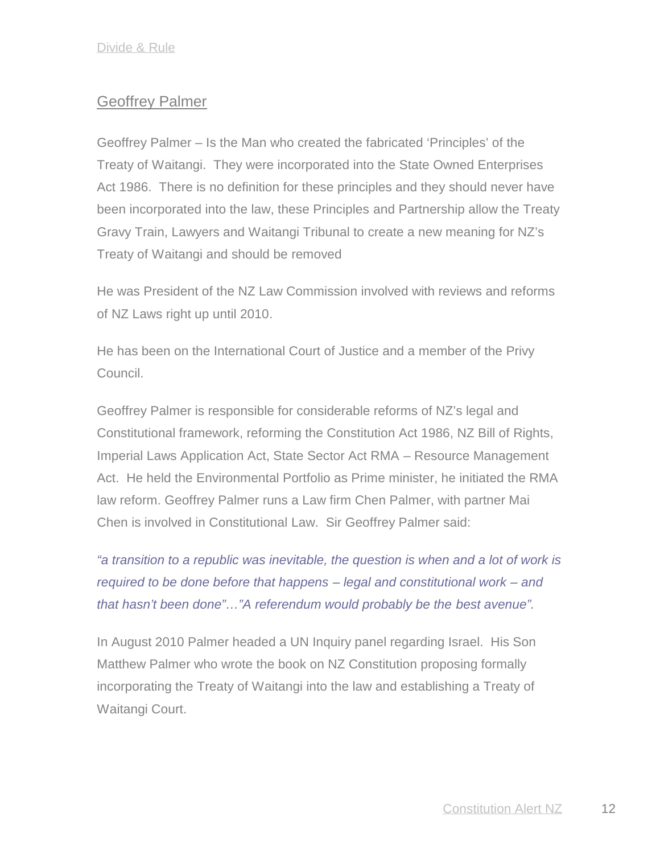# Geoffrey Palmer

Geoffrey Palmer – Is the Man who created the fabricated 'Principles' of the Treaty of Waitangi. They were incorporated into the State Owned Enterprises Act 1986. There is no definition for these principles and they should never have been incorporated into the law, these Principles and Partnership allow the Treaty Gravy Train, Lawyers and Waitangi Tribunal to create a new meaning for NZ's Treaty of Waitangi and should be removed

He was President of the NZ Law Commission involved with reviews and reforms of NZ Laws right up until 2010.

He has been on the International Court of Justice and a member of the Privy Council.

Geoffrey Palmer is responsible for considerable reforms of NZ's legal and Constitutional framework, reforming the Constitution Act 1986, NZ Bill of Rights, Imperial Laws Application Act, State Sector Act RMA – Resource Management Act. He held the Environmental Portfolio as Prime minister, he initiated the RMA law reform. Geoffrey Palmer runs a Law firm Chen Palmer, with partner Mai Chen is involved in Constitutional Law. Sir Geoffrey Palmer said:

*"a transition to a republic was inevitable, the question is when and a lot of work is required to be done before that happens – legal and constitutional work – and that hasn't been done"…"A referendum would probably be the best avenue".*

In August 2010 Palmer headed a UN Inquiry panel regarding Israel. His Son Matthew Palmer who wrote the book on NZ Constitution proposing formally incorporating the Treaty of Waitangi into the law and establishing a Treaty of Waitangi Court.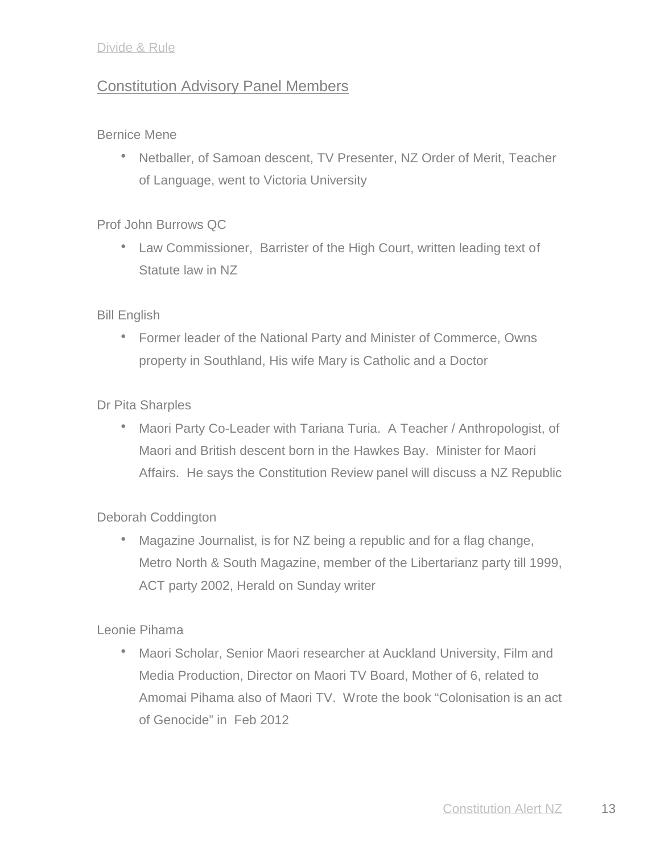# Constitution Advisory Panel Members

#### Bernice Mene

• Netballer, of Samoan descent, TV Presenter, NZ Order of Merit, Teacher of Language, went to Victoria University

## Prof John Burrows QC

• Law Commissioner, Barrister of the High Court, written leading text of Statute law in NZ

## Bill English

 Former leader of the National Party and Minister of Commerce, Owns property in Southland, His wife Mary is Catholic and a Doctor

## Dr Pita Sharples

 Maori Party Co-Leader with Tariana Turia. A Teacher / Anthropologist, of Maori and British descent born in the Hawkes Bay. Minister for Maori Affairs. He says the Constitution Review panel will discuss a NZ Republic

#### Deborah Coddington

 Magazine Journalist, is for NZ being a republic and for a flag change, Metro North & South Magazine, member of the Libertarianz party till 1999, ACT party 2002, Herald on Sunday writer

#### Leonie Pihama

 Maori Scholar, Senior Maori researcher at Auckland University, Film and Media Production, Director on Maori TV Board, Mother of 6, related to Amomai Pihama also of Maori TV. Wrote the book "Colonisation is an act of Genocide" in Feb 2012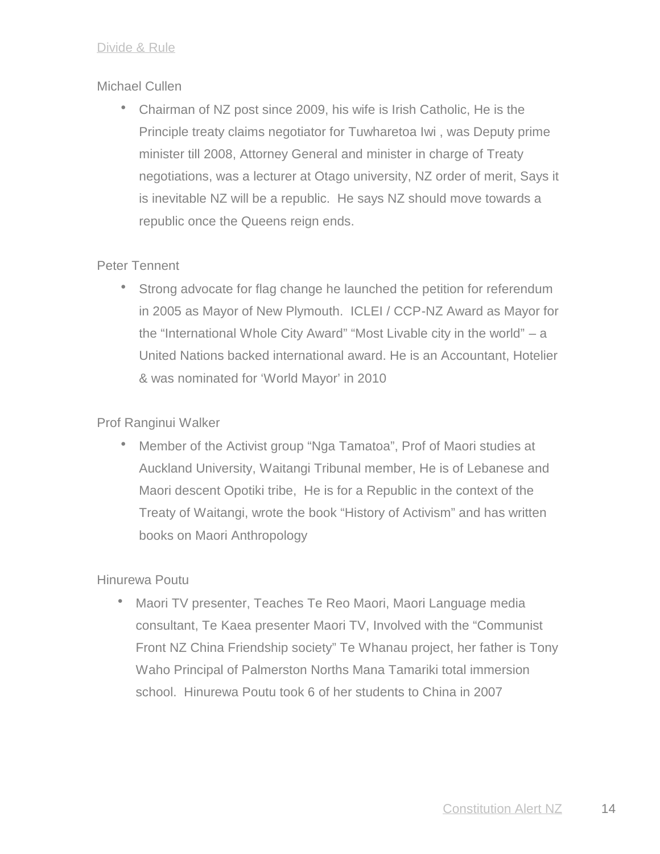#### Michael Cullen

 Chairman of NZ post since 2009, his wife is Irish Catholic, He is the Principle treaty claims negotiator for Tuwharetoa Iwi , was Deputy prime minister till 2008, Attorney General and minister in charge of Treaty negotiations, was a lecturer at Otago university, NZ order of merit, Says it is inevitable NZ will be a republic. He says NZ should move towards a republic once the Queens reign ends.

#### Peter Tennent

 Strong advocate for flag change he launched the petition for referendum in 2005 as Mayor of New Plymouth. ICLEI / CCP-NZ Award as Mayor for the "International Whole City Award" "Most Livable city in the world" – a United Nations backed international award. He is an Accountant, Hotelier & was nominated for 'World Mayor' in 2010

#### Prof Ranginui Walker

 Member of the Activist group "Nga Tamatoa", Prof of Maori studies at Auckland University, Waitangi Tribunal member, He is of Lebanese and Maori descent Opotiki tribe, He is for a Republic in the context of the Treaty of Waitangi, wrote the book "History of Activism" and has written books on Maori Anthropology

#### Hinurewa Poutu

 Maori TV presenter, Teaches Te Reo Maori, Maori Language media consultant, Te Kaea presenter Maori TV, Involved with the "Communist Front NZ China Friendship society" Te Whanau project, her father is Tony Waho Principal of Palmerston Norths Mana Tamariki total immersion school. Hinurewa Poutu took 6 of her students to China in 2007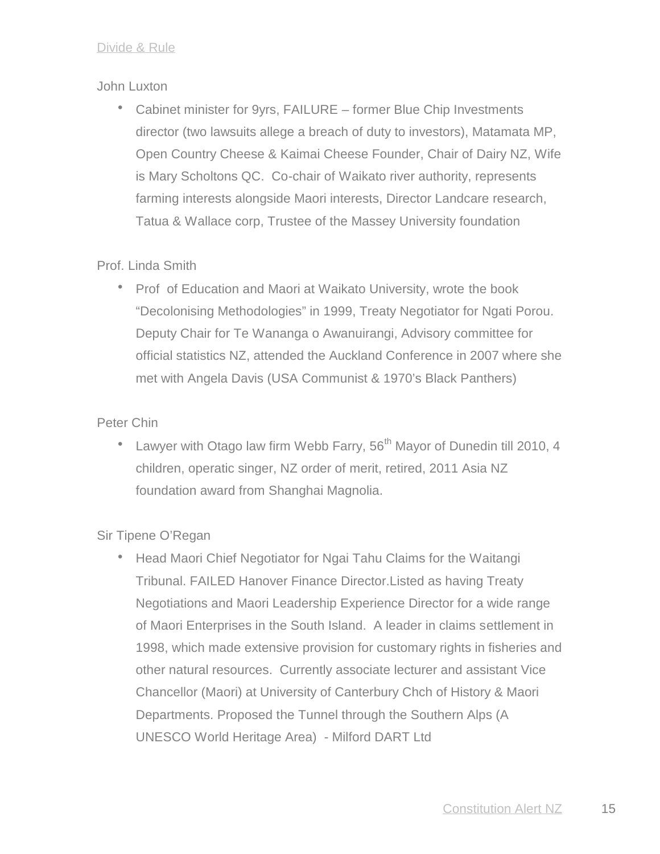#### John Luxton

• Cabinet minister for 9yrs, FAILURE – former Blue Chip Investments director (two lawsuits allege a breach of duty to investors), Matamata MP, Open Country Cheese & Kaimai Cheese Founder, Chair of Dairy NZ, Wife is Mary Scholtons QC. Co-chair of Waikato river authority, represents farming interests alongside Maori interests, Director Landcare research, Tatua & Wallace corp, Trustee of the Massey University foundation

#### Prof. Linda Smith

• Prof of Education and Maori at Waikato University, wrote the book "Decolonising Methodologies" in 1999, Treaty Negotiator for Ngati Porou. Deputy Chair for Te Wananga o Awanuirangi, Advisory committee for official statistics NZ, attended the Auckland Conference in 2007 where she met with Angela Davis (USA Communist & 1970's Black Panthers)

#### Peter Chin

• Lawyer with Otago law firm Webb Farry,  $56<sup>th</sup>$  Mayor of Dunedin till 2010, 4 children, operatic singer, NZ order of merit, retired, 2011 Asia NZ foundation award from Shanghai Magnolia.

#### Sir Tipene O'Regan

• Head Maori Chief Negotiator for Ngai Tahu Claims for the Waitangi Tribunal. FAILED Hanover Finance Director.Listed as having Treaty Negotiations and Maori Leadership Experience Director for a wide range of Maori Enterprises in the South Island. A leader in claims settlement in 1998, which made extensive provision for customary rights in fisheries and other natural resources. Currently associate lecturer and assistant Vice Chancellor (Maori) at University of Canterbury Chch of History & Maori Departments. Proposed the Tunnel through the Southern Alps (A UNESCO World Heritage Area) - Milford DART Ltd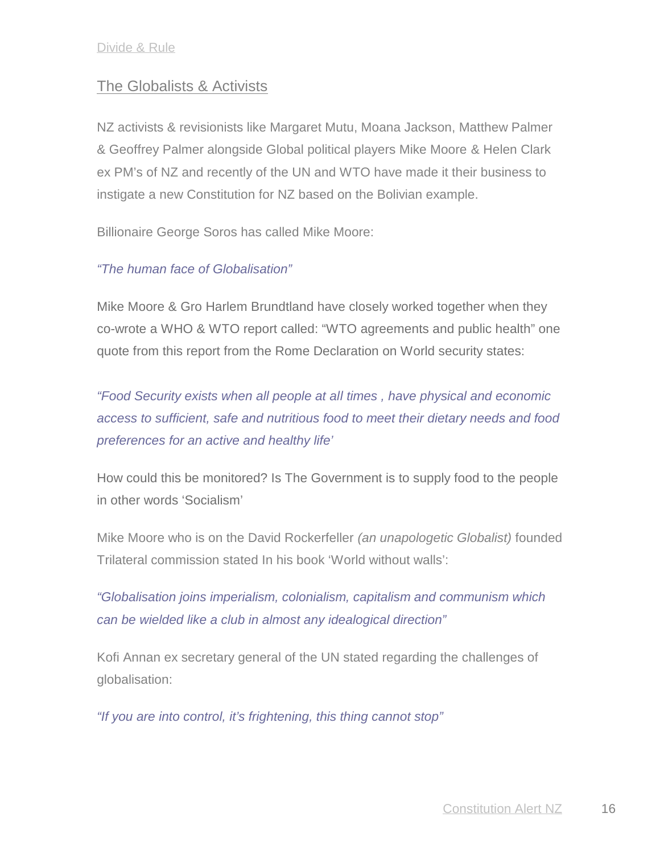# The Globalists & Activists

NZ activists & revisionists like Margaret Mutu, Moana Jackson, Matthew Palmer & Geoffrey Palmer alongside Global political players Mike Moore & Helen Clark ex PM's of NZ and recently of the UN and WTO have made it their business to instigate a new Constitution for NZ based on the Bolivian example.

Billionaire George Soros has called Mike Moore:

## *"The human face of Globalisation"*

Mike Moore & Gro Harlem Brundtland have closely worked together when they co-wrote a WHO & WTO report called: "WTO agreements and public health" one quote from this report from the Rome Declaration on World security states:

*"Food Security exists when all people at all times , have physical and economic access to sufficient, safe and nutritious food to meet their dietary needs and food preferences for an active and healthy life'*

How could this be monitored? Is The Government is to supply food to the people in other words 'Socialism'

Mike Moore who is on the David Rockerfeller *(an unapologetic Globalist)* founded Trilateral commission stated In his book 'World without walls':

*"Globalisation joins imperialism, colonialism, capitalism and communism which can be wielded like a club in almost any idealogical direction"*

Kofi Annan ex secretary general of the UN stated regarding the challenges of globalisation:

*"If you are into control, it's frightening, this thing cannot stop"*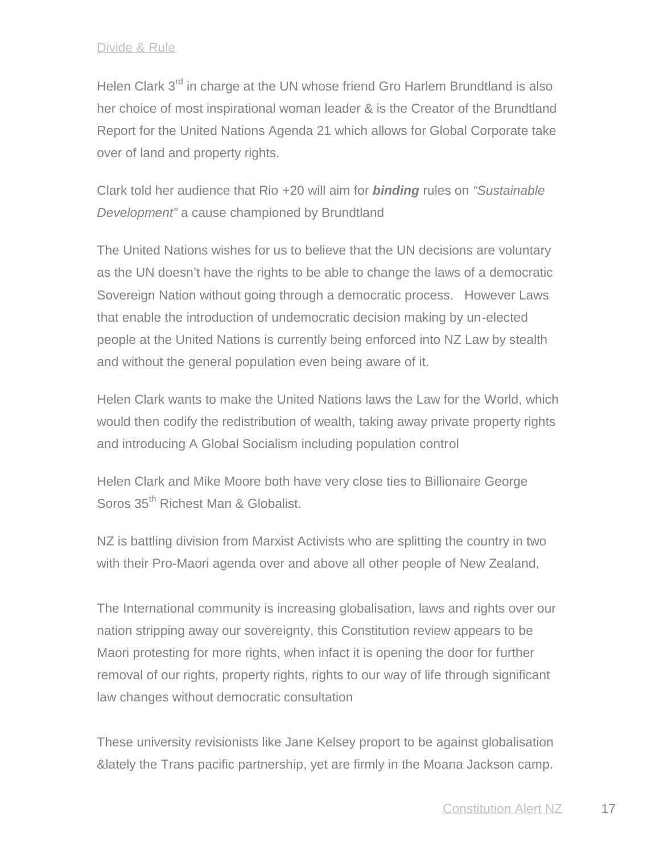Helen Clark 3<sup>rd</sup> in charge at the UN whose friend Gro Harlem Brundtland is also her choice of most inspirational woman leader & is the Creator of the Brundtland Report for the United Nations Agenda 21 which allows for Global Corporate take over of land and property rights.

Clark told her audience that Rio +20 will aim for *binding* rules on *"Sustainable Development"* a cause championed by Brundtland

The United Nations wishes for us to believe that the UN decisions are voluntary as the UN doesn't have the rights to be able to change the laws of a democratic Sovereign Nation without going through a democratic process. However Laws that enable the introduction of undemocratic decision making by un-elected people at the United Nations is currently being enforced into NZ Law by stealth and without the general population even being aware of it.

Helen Clark wants to make the United Nations laws the Law for the World, which would then codify the redistribution of wealth, taking away private property rights and introducing A Global Socialism including population control

Helen Clark and Mike Moore both have very close ties to Billionaire George Soros 35<sup>th</sup> Richest Man & Globalist.

NZ is battling division from Marxist Activists who are splitting the country in two with their Pro-Maori agenda over and above all other people of New Zealand,

The International community is increasing globalisation, laws and rights over our nation stripping away our sovereignty, this Constitution review appears to be Maori protesting for more rights, when infact it is opening the door for further removal of our rights, property rights, rights to our way of life through significant law changes without democratic consultation

These university revisionists like Jane Kelsey proport to be against globalisation &lately the Trans pacific partnership, yet are firmly in the Moana Jackson camp.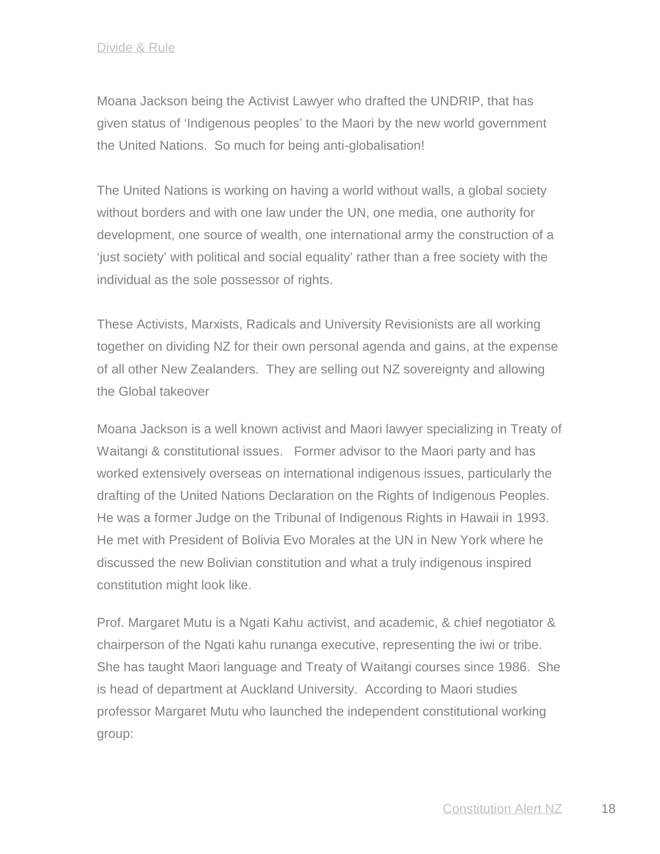Moana Jackson being the Activist Lawyer who drafted the UNDRIP, that has given status of 'Indigenous peoples' to the Maori by the new world government the United Nations. So much for being anti-globalisation!

The United Nations is working on having a world without walls, a global society without borders and with one law under the UN, one media, one authority for development, one source of wealth, one international army the construction of a 'just society' with political and social equality' rather than a free society with the individual as the sole possessor of rights.

These Activists, Marxists, Radicals and University Revisionists are all working together on dividing NZ for their own personal agenda and gains, at the expense of all other New Zealanders. They are selling out NZ sovereignty and allowing the Global takeover

Moana Jackson is a well known activist and Maori lawyer specializing in Treaty of Waitangi & constitutional issues. Former advisor to the Maori party and has worked extensively overseas on international indigenous issues, particularly the drafting of the United Nations Declaration on the Rights of Indigenous Peoples. He was a former Judge on the Tribunal of Indigenous Rights in Hawaii in 1993. He met with President of Bolivia Evo Morales at the UN in New York where he discussed the new Bolivian constitution and what a truly indigenous inspired constitution might look like.

Prof. Margaret Mutu is a Ngati Kahu activist, and academic, & chief negotiator & chairperson of the Ngati kahu runanga executive, representing the iwi or tribe. She has taught Maori language and Treaty of Waitangi courses since 1986. She is head of department at Auckland University. According to Maori studies professor Margaret Mutu who launched the independent constitutional working group: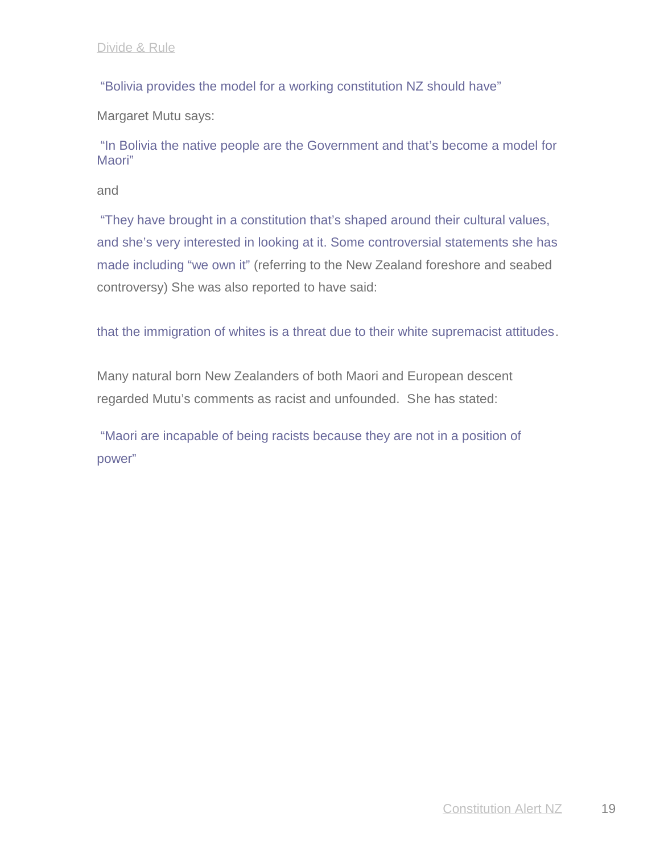"Bolivia provides the model for a working constitution NZ should have"

Margaret Mutu says:

 "In Bolivia the native people are the Government and that's become a model for Maori"

and

 "They have brought in a constitution that's shaped around their cultural values, and she's very interested in looking at it. Some controversial statements she has made including "we own it" (referring to the New Zealand foreshore and seabed controversy) She was also reported to have said:

that the immigration of whites is a threat due to their white supremacist attitudes.

Many natural born New Zealanders of both Maori and European descent regarded Mutu's comments as racist and unfounded. She has stated:

"Maori are incapable of being racists because they are not in a position of power"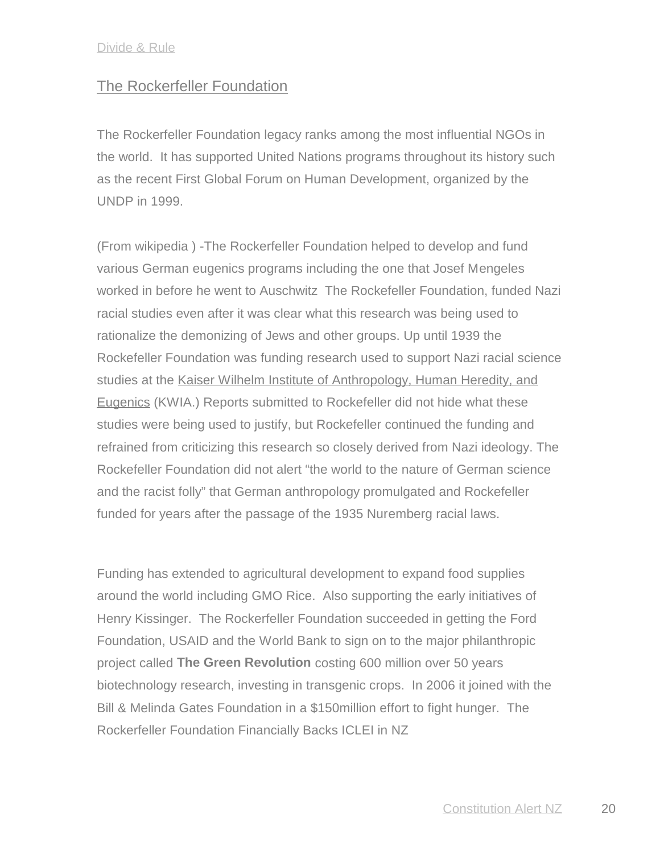## The Rockerfeller Foundation

The Rockerfeller Foundation legacy ranks among the most influential NGOs in the world. It has supported United Nations programs throughout its history such as the recent First Global Forum on Human Development, organized by the UNDP in 1999.

(From wikipedia ) -The Rockerfeller Foundation helped to develop and fund various German eugenics programs including the one that Josef Mengeles worked in before he went to Auschwitz The Rockefeller Foundation, funded Nazi racial studies even after it was clear what this research was being used to rationalize the demonizing of Jews and other groups. Up until 1939 the Rockefeller Foundation was funding research used to support Nazi racial science studies at the Kaiser Wilhelm Institute of Anthropology, Human Heredity, and Eugenics (KWIA.) Reports submitted to Rockefeller did not hide what these studies were being used to justify, but Rockefeller continued the funding and refrained from criticizing this research so closely derived from Nazi ideology. The Rockefeller Foundation did not alert "the world to the nature of German science and the racist folly" that German anthropology promulgated and Rockefeller funded for years after the passage of the 1935 Nuremberg racial laws.

Funding has extended to agricultural development to expand food supplies around the world including GMO Rice. Also supporting the early initiatives of Henry Kissinger. The Rockerfeller Foundation succeeded in getting the Ford Foundation, USAID and the World Bank to sign on to the major philanthropic project called **The Green Revolution** costing 600 million over 50 years biotechnology research, investing in transgenic crops. In 2006 it joined with the Bill & Melinda Gates Foundation in a \$150million effort to fight hunger. The Rockerfeller Foundation Financially Backs ICLEI in NZ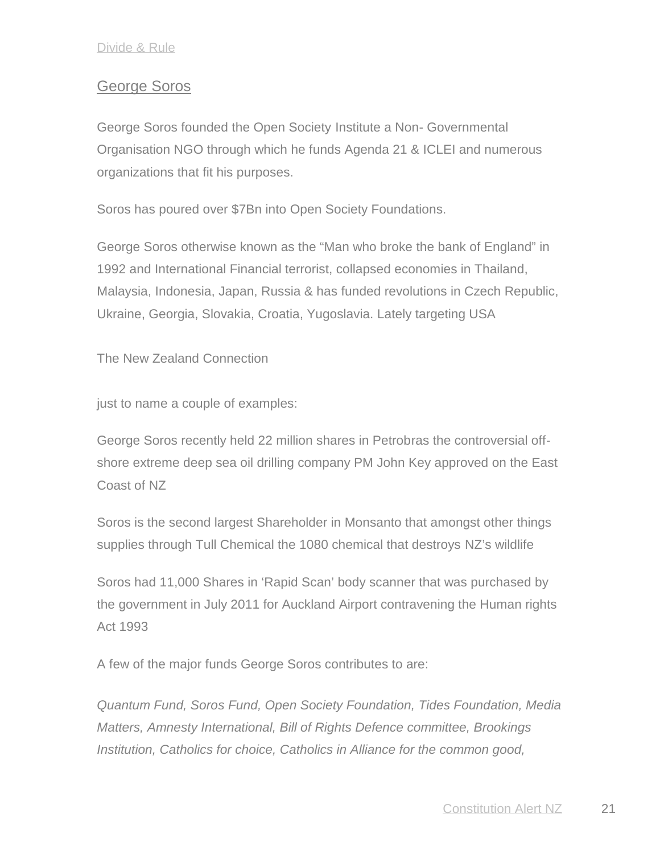## George Soros

George Soros founded the Open Society Institute a Non- Governmental Organisation NGO through which he funds Agenda 21 & ICLEI and numerous organizations that fit his purposes.

Soros has poured over \$7Bn into Open Society Foundations.

George Soros otherwise known as the "Man who broke the bank of England" in 1992 and International Financial terrorist, collapsed economies in Thailand, Malaysia, Indonesia, Japan, Russia & has funded revolutions in Czech Republic, Ukraine, Georgia, Slovakia, Croatia, Yugoslavia. Lately targeting USA

The New Zealand Connection

just to name a couple of examples:

George Soros recently held 22 million shares in Petrobras the controversial off shore extreme deep sea oil drilling company PM John Key approved on the East Coast of NZ

Soros is the second largest Shareholder in Monsanto that amongst other things supplies through Tull Chemical the 1080 chemical that destroys NZ's wildlife

Soros had 11,000 Shares in 'Rapid Scan' body scanner that was purchased by the government in July 2011 for Auckland Airport contravening the Human rights Act 1993

A few of the major funds George Soros contributes to are:

*Quantum Fund, Soros Fund, Open Society Foundation, Tides Foundation, Media Matters, Amnesty International, Bill of Rights Defence committee, Brookings Institution, Catholics for choice, Catholics in Alliance for the common good,*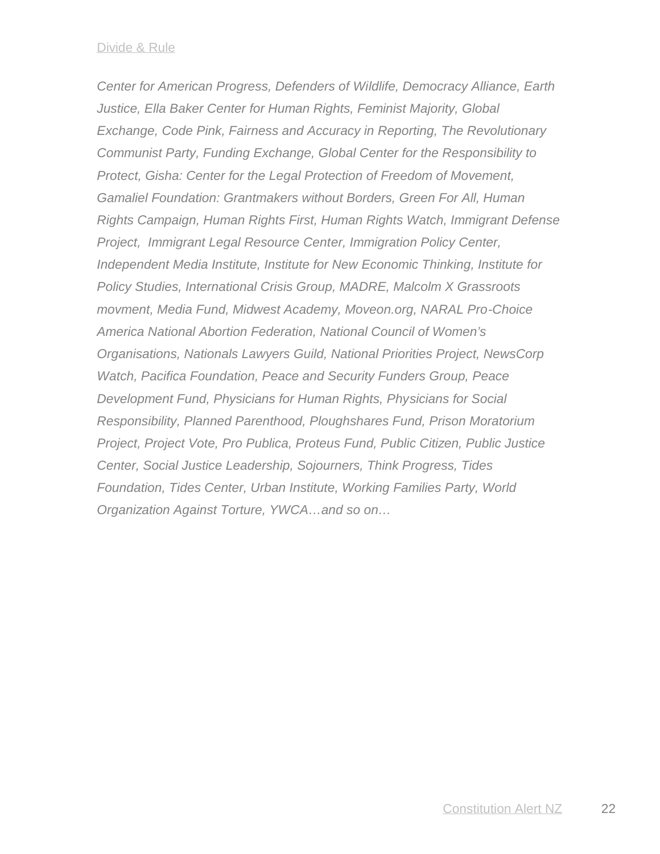*Center for American Progress, Defenders of Wildlife, Democracy Alliance, Earth Justice, Ella Baker Center for Human Rights, Feminist Majority, Global Exchange, Code Pink, Fairness and Accuracy in Reporting, The Revolutionary Communist Party, Funding Exchange, Global Center for the Responsibility to Protect, Gisha: Center for the Legal Protection of Freedom of Movement, Gamaliel Foundation: Grantmakers without Borders, Green For All, Human Rights Campaign, Human Rights First, Human Rights Watch, Immigrant Defense Project, Immigrant Legal Resource Center, Immigration Policy Center, Independent Media Institute, Institute for New Economic Thinking, Institute for Policy Studies, International Crisis Group, MADRE, Malcolm X Grassroots movment, Media Fund, Midwest Academy, Moveon.org, NARAL Pro-Choice America National Abortion Federation, National Council of Women's Organisations, Nationals Lawyers Guild, National Priorities Project, NewsCorp Watch, Pacifica Foundation, Peace and Security Funders Group, Peace Development Fund, Physicians for Human Rights, Physicians for Social Responsibility, Planned Parenthood, Ploughshares Fund, Prison Moratorium Project, Project Vote, Pro Publica, Proteus Fund, Public Citizen, Public Justice Center, Social Justice Leadership, Sojourners, Think Progress, Tides Foundation, Tides Center, Urban Institute, Working Families Party, World Organization Against Torture, YWCA…and so on…*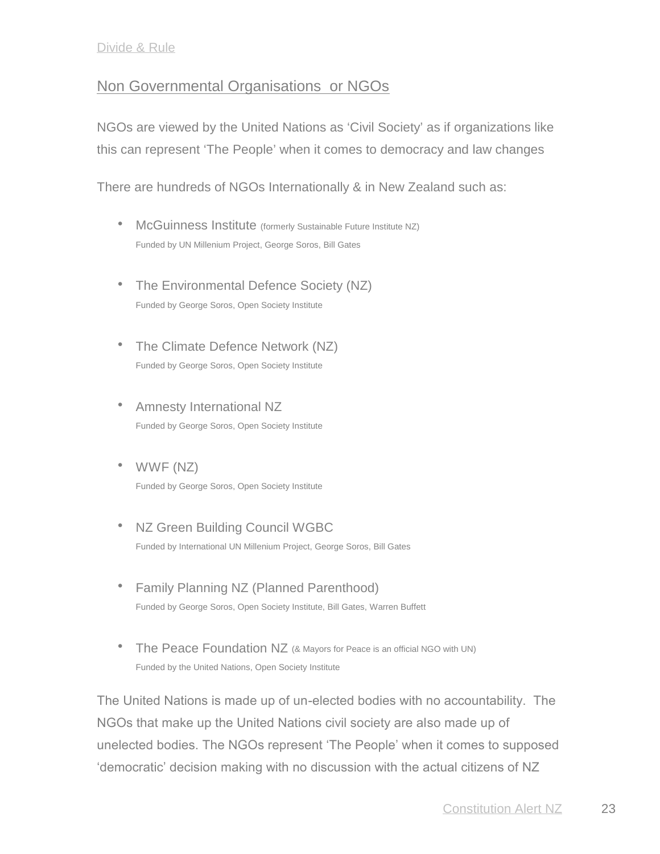# Non Governmental Organisations or NGOs

NGOs are viewed by the United Nations as 'Civil Society' as if organizations like this can represent 'The People' when it comes to democracy and law changes

There are hundreds of NGOs Internationally & in New Zealand such as:

- **•** McGuinness Institute (formerly Sustainable Future Institute NZ) Funded by UN Millenium Project, George Soros, Bill Gates
- The Environmental Defence Society (NZ) Funded by George Soros, Open Society Institute
- The Climate Defence Network (NZ) Funded by George Soros, Open Society Institute
- Amnesty International NZ Funded by George Soros, Open Society Institute
- WWF (NZ) Funded by George Soros, Open Society Institute
- NZ Green Building Council WGBC Funded by International UN Millenium Project, George Soros, Bill Gates
- Family Planning NZ (Planned Parenthood) Funded by George Soros, Open Society Institute, Bill Gates, Warren Buffett
- The Peace Foundation NZ (& Mayors for Peace is an official NGO with UN) Funded by the United Nations, Open Society Institute

The United Nations is made up of un-elected bodies with no accountability. The NGOs that make up the United Nations civil society are also made up of unelected bodies. The NGOs represent 'The People' when it comes to supposed 'democratic' decision making with no discussion with the actual citizens of NZ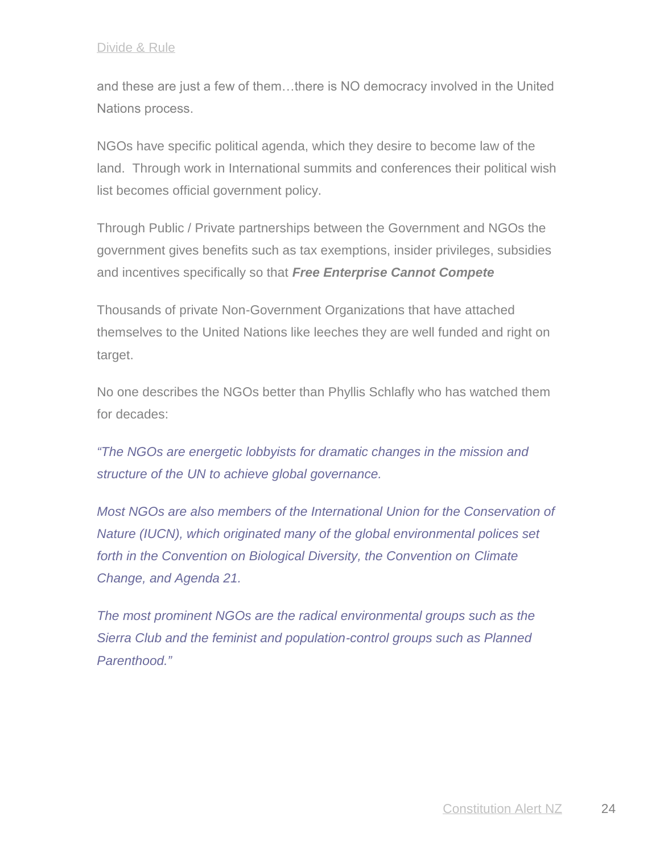and these are just a few of them…there is NO democracy involved in the United Nations process.

NGOs have specific political agenda, which they desire to become law of the land. Through work in International summits and conferences their political wish list becomes official government policy.

Through Public / Private partnerships between the Government and NGOs the government gives benefits such as tax exemptions, insider privileges, subsidies and incentives specifically so that *Free Enterprise Cannot Compete*

Thousands of private Non-Government Organizations that have attached themselves to the United Nations like leeches they are well funded and right on target.

No one describes the NGOs better than Phyllis Schlafly who has watched them for decades:

*"The NGOs are energetic lobbyists for dramatic changes in the mission and structure of the UN to achieve global governance.*

*Most NGOs are also members of the International Union for the Conservation of Nature (IUCN), which originated many of the global environmental polices set forth in the Convention on Biological Diversity, the Convention on Climate Change, and Agenda 21.*

*The most prominent NGOs are the radical environmental groups such as the Sierra Club and the feminist and population-control groups such as Planned Parenthood."*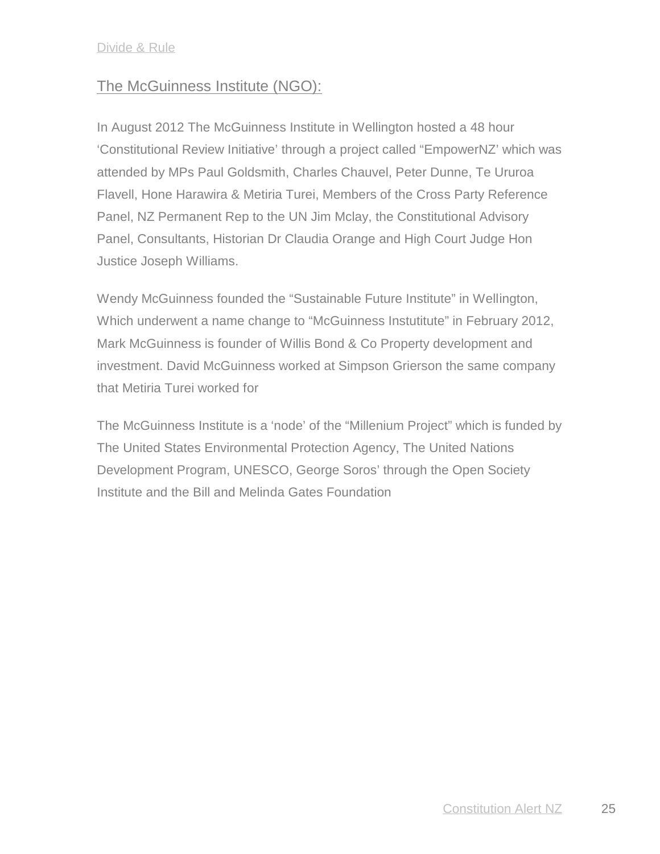# The McGuinness Institute (NGO):

In August 2012 The McGuinness Institute in Wellington hosted a 48 hour 'Constitutional Review Initiative' through a project called "EmpowerNZ' which was attended by MPs Paul Goldsmith, Charles Chauvel, Peter Dunne, Te Ururoa Flavell, Hone Harawira & Metiria Turei, Members of the Cross Party Reference Panel, NZ Permanent Rep to the UN Jim Mclay, the Constitutional Advisory Panel, Consultants, Historian Dr Claudia Orange and High Court Judge Hon Justice Joseph Williams.

Wendy McGuinness founded the "Sustainable Future Institute" in Wellington, Which underwent a name change to "McGuinness Instutitute" in February 2012, Mark McGuinness is founder of Willis Bond & Co Property development and investment. David McGuinness worked at Simpson Grierson the same company that Metiria Turei worked for

The McGuinness Institute is a 'node' of the "Millenium Project" which is funded by The United States Environmental Protection Agency, The United Nations Development Program, UNESCO, George Soros' through the Open Society Institute and the Bill and Melinda Gates Foundation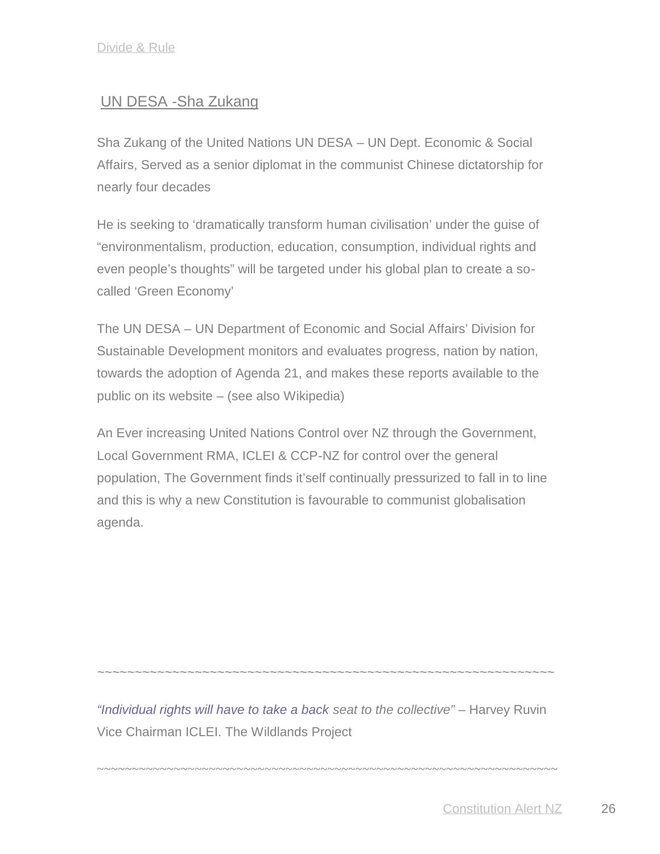# UN DESA -Sha Zukang

Sha Zukang of the United Nations UN DESA – UN Dept. Economic & Social Affairs, Served as a senior diplomat in the communist Chinese dictatorship for nearly four decades

He is seeking to 'dramatically transform human civilisation' under the guise of "environmentalism, production, education, consumption, individual rights and even people's thoughts" will be targeted under his global plan to create a so called 'Green Economy'

The UN DESA – UN Department of Economic and Social Affairs' Division for Sustainable Development monitors and evaluates progress, nation by nation, towards the adoption of Agenda 21, and makes these reports available to the public on its website – (see also Wikipedia)

An Ever increasing United Nations Control over NZ through the Government, Local Government RMA, ICLEI & CCP-NZ for control over the general population, The Government finds it'self continually pressurized to fall in to line and this is why a new Constitution is favourable to communist globalisation agenda.

*"Individual rights will have to take a back seat to the collective"* – Harvey Ruvin Vice Chairman ICLEI. The Wildlands Project

~~~~~~~~~~~~~~~~~~~~~~~~~~~~~~~~~~~~~~~~~~~~~~~~~~~~~~~~~~~~~~~~~~

*~~~~~~~~~~~~~~~~~~~~~~~~~~~~~~~~~~~~~~~~~~~~~~~~~~~~~~~~~~~~~*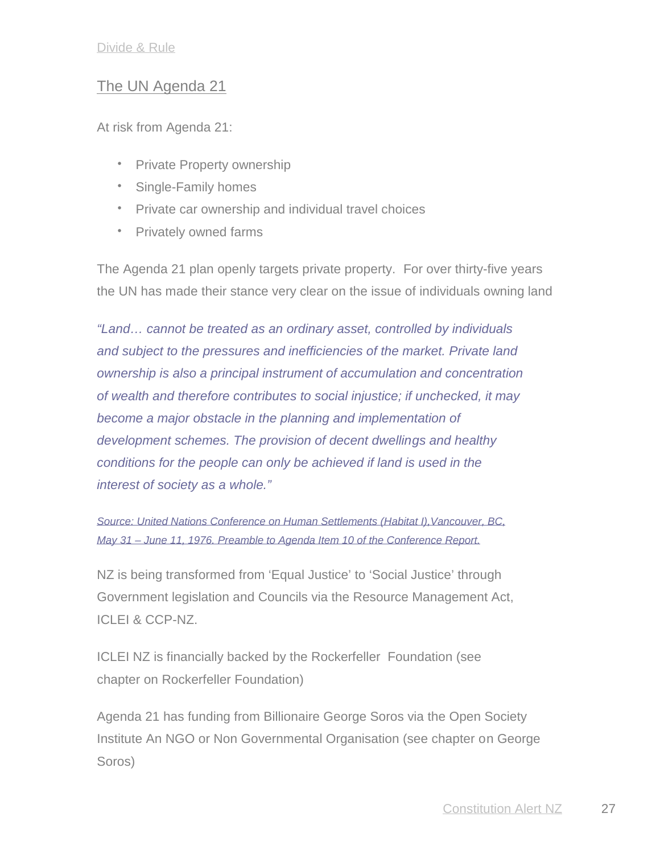# The UN Agenda 21

At risk from Agenda 21:

- Private Property ownership
- Single-Family homes
- Private car ownership and individual travel choices
- Privately owned farms

The Agenda 21 plan openly targets private property. For over thirty-five years the UN has made their stance very clear on the issue of individuals owning land

*"Land… cannot be treated as an ordinary asset, controlled by individuals and subject to the pressures and inefficiencies of the market. Private land ownership is also a principal instrument of accumulation and concentration of wealth and therefore contributes to social injustice; if unchecked, it may become a major obstacle in the planning and implementation of development schemes. The provision of decent dwellings and healthy conditions for the people can only be achieved if land is used in the interest of society as a whole."*

*Source: United Nations Conference on Human Settlements (Habitat I),Vancouver, BC, May 31 – June 11, 1976. Preamble to Agenda Item 10 of the Conference Report.*

NZ is being transformed from 'Equal Justice' to 'Social Justice' through Government legislation and Councils via the Resource Management Act, ICLEI & CCP-NZ.

ICLEI NZ is financially backed by the Rockerfeller Foundation (see chapter on Rockerfeller Foundation)

Agenda 21 has funding from Billionaire George Soros via the Open Society Institute An NGO or Non Governmental Organisation (see chapter on George Soros)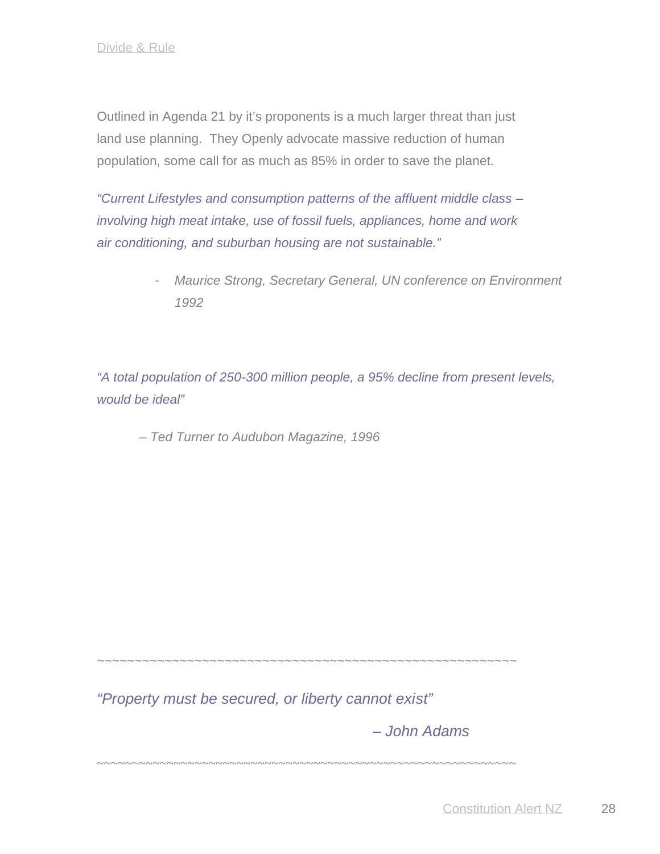Outlined in Agenda 21 by it's proponents is a much larger threat than just land use planning. They Openly advocate massive reduction of human population, some call for as much as 85% in order to save the planet.

*"Current Lifestyles and consumption patterns of the affluent middle class – involving high meat intake, use of fossil fuels, appliances, home and work air conditioning, and suburban housing are not sustainable."*

> - *Maurice Strong, Secretary General, UN conference on Environment 1992*

*"A total population of 250-300 million people, a 95% decline from present levels, would be ideal"*

*– Ted Turner to Audubon Magazine, 1996*

~~~~~~~~~~~~~~~~~~~

*"Property must be secured, or liberty cannot exist"*

*– John Adams*

~~~~~~~~~~~~~~~~~~~~~~~~~~~~~~~~~~~~~~~~~~~~~~~~~~~~~~~~~~~~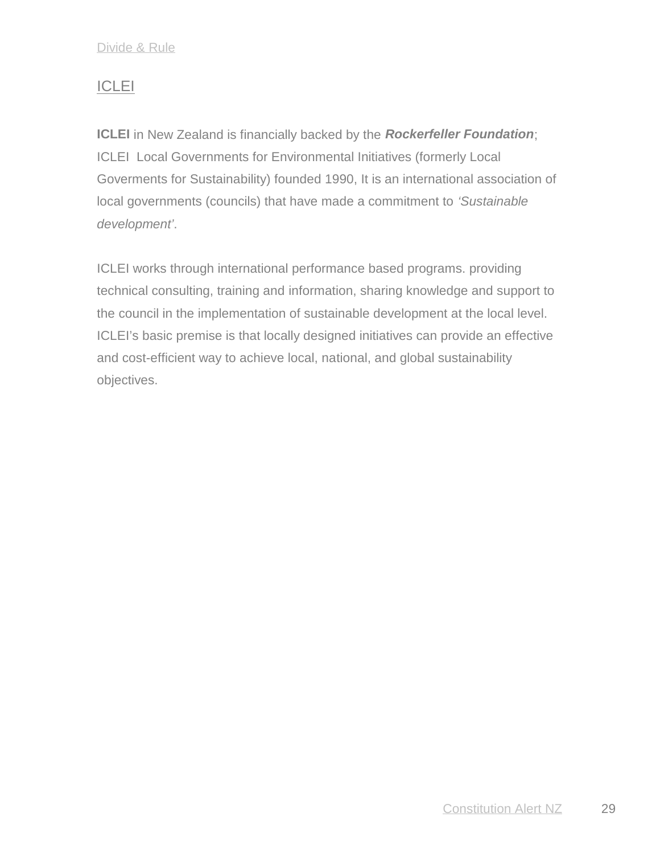# **ICLEI**

**ICLEI** in New Zealand is financially backed by the *Rockerfeller Foundation*; ICLEI Local Governments for Environmental Initiatives (formerly Local Goverments for Sustainability) founded 1990, It is an international association of local governments (councils) that have made a commitment to *'Sustainable development'*.

ICLEI works through international performance based programs. providing technical consulting, training and information, sharing knowledge and support to the council in the implementation of sustainable development at the local level. ICLEI's basic premise is that locally designed initiatives can provide an effective and cost-efficient way to achieve local, national, and global sustainability objectives.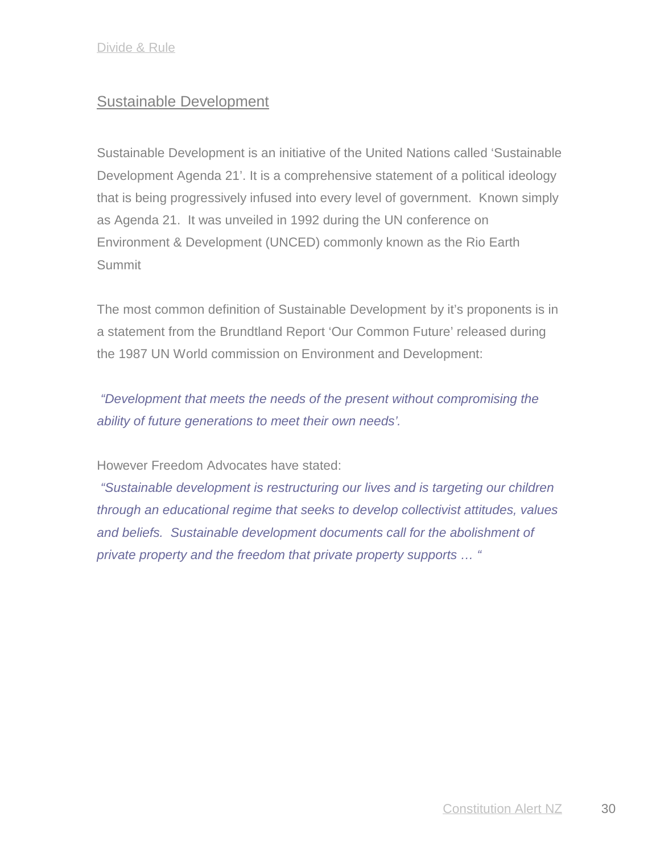# Sustainable Development

Sustainable Development is an initiative of the United Nations called 'Sustainable Development Agenda 21'. It is a comprehensive statement of a political ideology that is being progressively infused into every level of government. Known simply as Agenda 21. It was unveiled in 1992 during the UN conference on Environment & Development (UNCED) commonly known as the Rio Earth Summit

The most common definition of Sustainable Development by it's proponents is in a statement from the Brundtland Report 'Our Common Future' released during the 1987 UN World commission on Environment and Development:

*"Development that meets the needs of the present without compromising the ability of future generations to meet their own needs'.*

#### However Freedom Advocates have stated:

*"Sustainable development is restructuring our lives and is targeting our children through an educational regime that seeks to develop collectivist attitudes, values and beliefs. Sustainable development documents call for the abolishment of private property and the freedom that private property supports … "*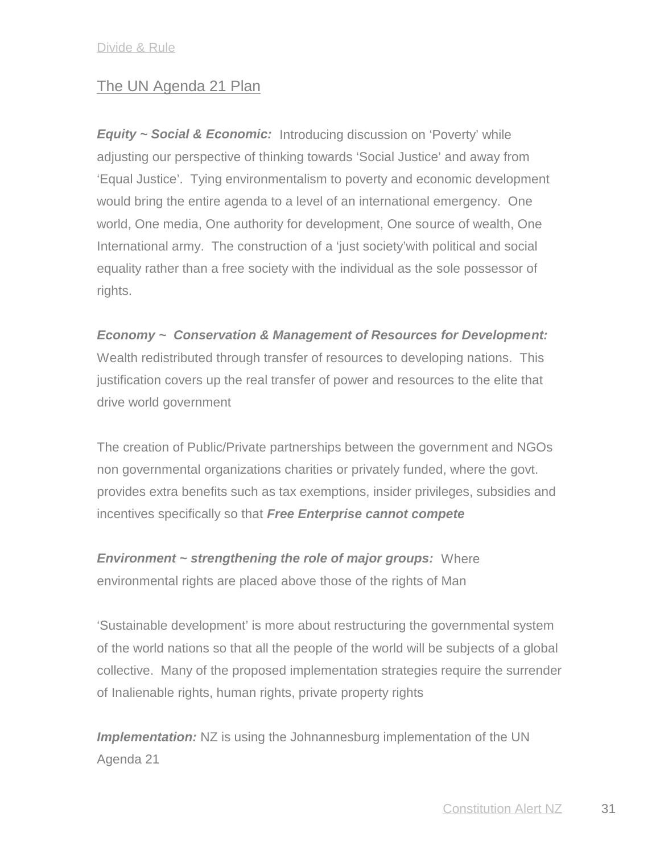## The UN Agenda 21 Plan

*Equity ~ Social & Economic:* Introducing discussion on 'Poverty' while adjusting our perspective of thinking towards 'Social Justice' and away from 'Equal Justice'. Tying environmentalism to poverty and economic development would bring the entire agenda to a level of an international emergency. One world, One media, One authority for development, One source of wealth, One International army. The construction of a 'just society'with political and social equality rather than a free society with the individual as the sole possessor of rights.

*Economy ~ Conservation & Management of Resources for Development:* Wealth redistributed through transfer of resources to developing nations. This justification covers up the real transfer of power and resources to the elite that drive world government

The creation of Public/Private partnerships between the government and NGOs non governmental organizations charities or privately funded, where the govt. provides extra benefits such as tax exemptions, insider privileges, subsidies and incentives specifically so that *Free Enterprise cannot compete*

*Environment ~ strengthening the role of major groups:* Where environmental rights are placed above those of the rights of Man

'Sustainable development' is more about restructuring the governmental system of the world nations so that all the people of the world will be subjects of a global collective. Many of the proposed implementation strategies require the surrender of Inalienable rights, human rights, private property rights

**Implementation:** NZ is using the Johnannesburg implementation of the UN Agenda 21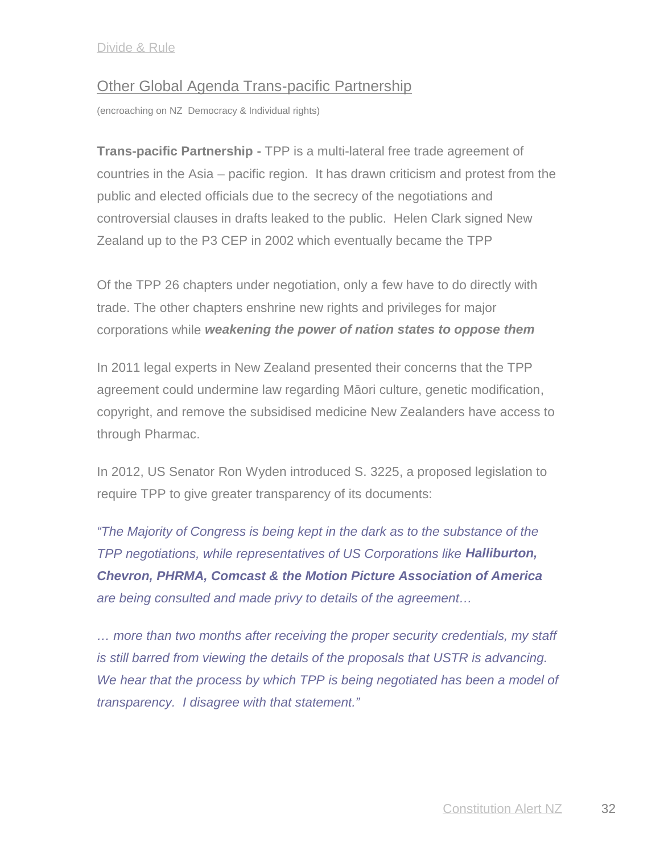## Other Global Agenda Trans-pacific Partnership

(encroaching on NZ Democracy & Individual rights)

**Trans-pacific Partnership -** TPP is a multi-lateral free trade agreement of countries in the Asia – pacific region. It has drawn criticism and protest from the public and elected officials due to the secrecy of the negotiations and controversial clauses in drafts leaked to the public. Helen Clark signed New Zealand up to the P3 CEP in 2002 which eventually became the TPP

Of the TPP 26 chapters under negotiation, only a few have to do directly with trade. The other chapters enshrine new rights and privileges for major corporations while *weakening the power of nation states to oppose them*

In 2011 legal experts in New Zealand presented their concerns that the TPP agreement could undermine law regarding M ori culture, genetic modification, copyright, and remove the subsidised medicine New Zealanders have access to through Pharmac.

In 2012, US Senator Ron Wyden introduced S. 3225, a proposed legislation to require TPP to give greater transparency of its documents:

*"The Majority of Congress is being kept in the dark as to the substance of the TPP negotiations, while representatives of US Corporations like Halliburton, Chevron, PHRMA, Comcast & the Motion Picture Association of America are being consulted and made privy to details of the agreement…*

*… more than two months after receiving the proper security credentials, my staff is still barred from viewing the details of the proposals that USTR is advancing. We hear that the process by which TPP is being negotiated has been a model of transparency. I disagree with that statement."*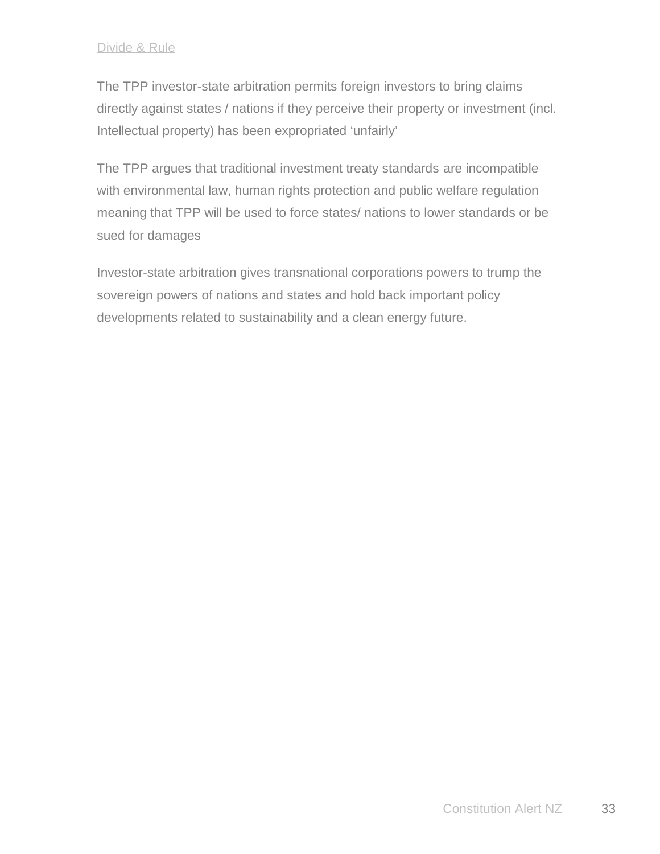The TPP investor-state arbitration permits foreign investors to bring claims directly against states / nations if they perceive their property or investment (incl. Intellectual property) has been expropriated 'unfairly'

The TPP argues that traditional investment treaty standards are incompatible with environmental law, human rights protection and public welfare regulation meaning that TPP will be used to force states/ nations to lower standards or be sued for damages

Investor-state arbitration gives transnational corporations powers to trump the sovereign powers of nations and states and hold back important policy developments related to sustainability and a clean energy future.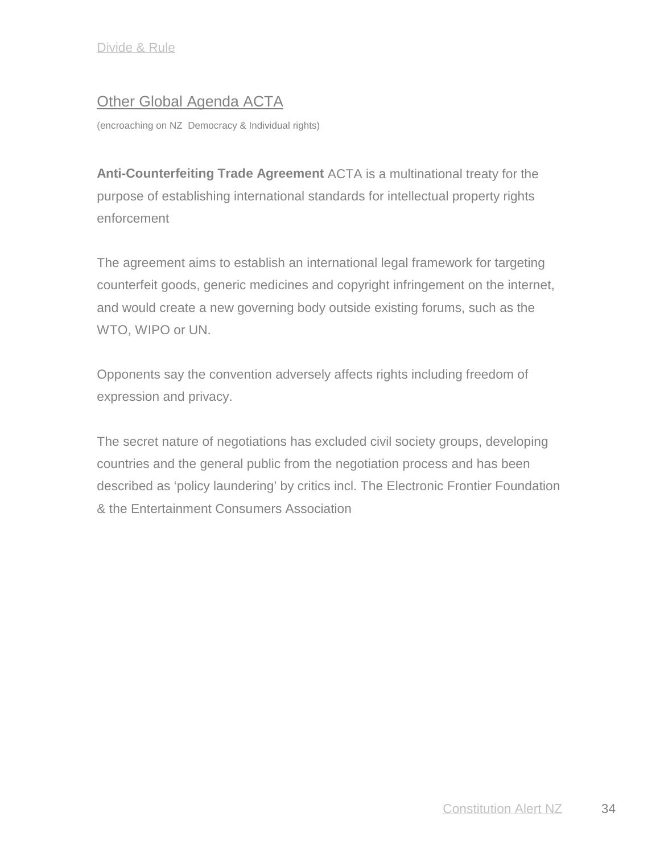# Other Global Agenda ACTA

(encroaching on NZ Democracy & Individual rights)

**Anti-Counterfeiting Trade Agreement** ACTA is a multinational treaty for the purpose of establishing international standards for intellectual property rights enforcement

The agreement aims to establish an international legal framework for targeting counterfeit goods, generic medicines and copyright infringement on the internet, and would create a new governing body outside existing forums, such as the WTO, WIPO or UN.

Opponents say the convention adversely affects rights including freedom of expression and privacy.

The secret nature of negotiations has excluded civil society groups, developing countries and the general public from the negotiation process and has been described as 'policy laundering' by critics incl. The Electronic Frontier Foundation & the Entertainment Consumers Association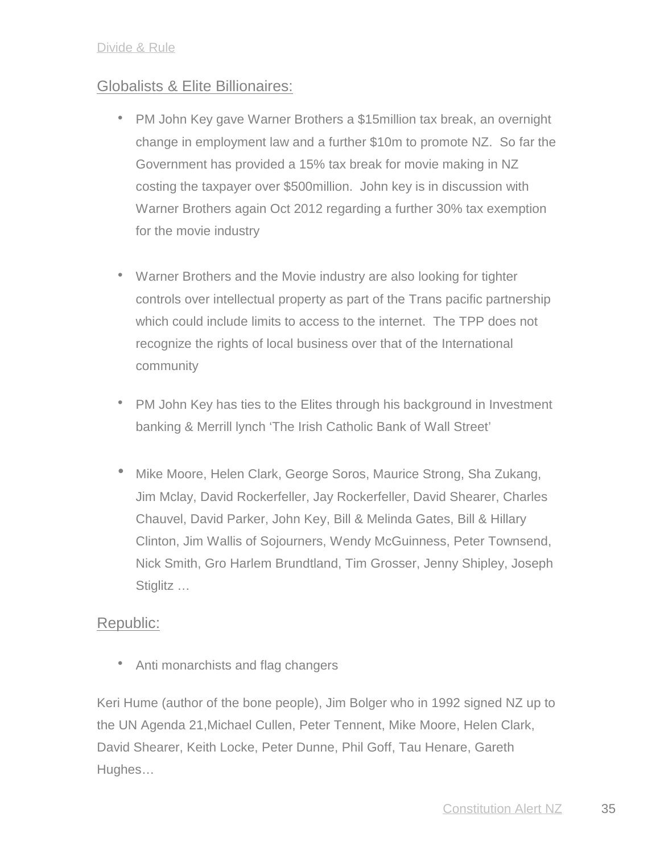# Globalists & Elite Billionaires:

- PM John Key gave Warner Brothers a \$15million tax break, an overnight change in employment law and a further \$10m to promote NZ. So far the Government has provided a 15% tax break for movie making in NZ costing the taxpayer over \$500million. John key is in discussion with Warner Brothers again Oct 2012 regarding a further 30% tax exemption for the movie industry
- Warner Brothers and the Movie industry are also looking for tighter controls over intellectual property as part of the Trans pacific partnership which could include limits to access to the internet. The TPP does not recognize the rights of local business over that of the International community
- PM John Key has ties to the Elites through his background in Investment banking & Merrill lynch 'The Irish Catholic Bank of Wall Street'
- Mike Moore, Helen Clark, George Soros, Maurice Strong, Sha Zukang, Jim Mclay, David Rockerfeller, Jay Rockerfeller, David Shearer, Charles Chauvel, David Parker, John Key, Bill & Melinda Gates, Bill & Hillary Clinton, Jim Wallis of Sojourners, Wendy McGuinness, Peter Townsend, Nick Smith, Gro Harlem Brundtland, Tim Grosser, Jenny Shipley, Joseph Stiglitz …

# Republic:

• Anti monarchists and flag changers

Keri Hume (author of the bone people), Jim Bolger who in 1992 signed NZ up to the UN Agenda 21,Michael Cullen, Peter Tennent, Mike Moore, Helen Clark, David Shearer, Keith Locke, Peter Dunne, Phil Goff, Tau Henare, Gareth Hughes…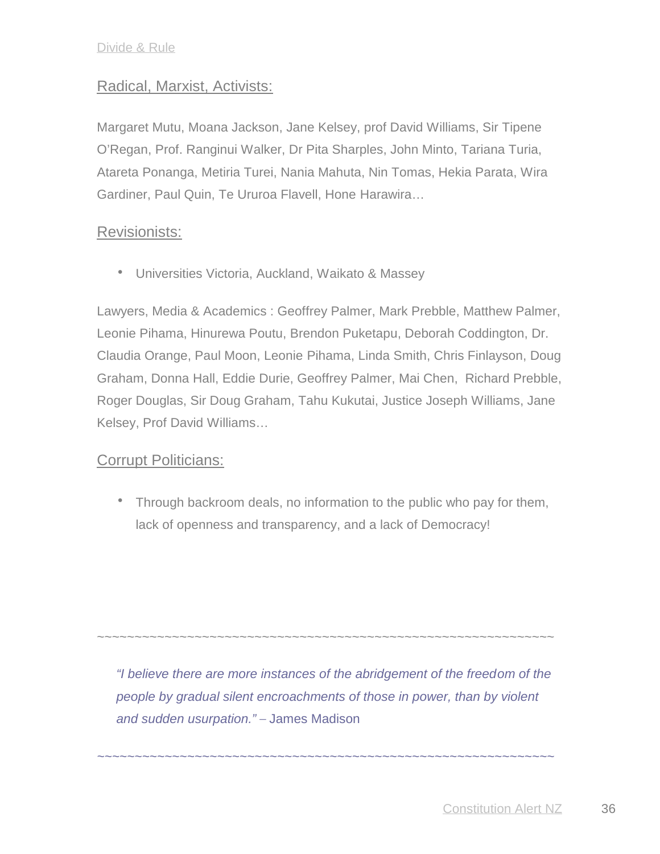## Radical, Marxist, Activists:

Margaret Mutu, Moana Jackson, Jane Kelsey, prof David Williams, Sir Tipene O'Regan, Prof. Ranginui Walker, Dr Pita Sharples, John Minto, Tariana Turia, Atareta Ponanga, Metiria Turei, Nania Mahuta, Nin Tomas, Hekia Parata, Wira Gardiner, Paul Quin, Te Ururoa Flavell, Hone Harawira…

#### Revisionists:

Universities Victoria, Auckland, Waikato & Massey

Lawyers, Media & Academics : Geoffrey Palmer, Mark Prebble, Matthew Palmer, Leonie Pihama, Hinurewa Poutu, Brendon Puketapu, Deborah Coddington, Dr. Claudia Orange, Paul Moon, Leonie Pihama, Linda Smith, Chris Finlayson, Doug Graham, Donna Hall, Eddie Durie, Geoffrey Palmer, Mai Chen, Richard Prebble, Roger Douglas, Sir Doug Graham, Tahu Kukutai, Justice Joseph Williams, Jane Kelsey, Prof David Williams…

## Corrupt Politicians:

• Through backroom deals, no information to the public who pay for them, lack of openness and transparency, and a lack of Democracy!

*"I believe there are more instances of the abridgement of the freedom of the people by gradual silent encroachments of those in power, than by violent and sudden usurpation."* – James Madison

*~~~~~~~~~~~~~~~~~~~~~~~~~~~~~~~~~~~~~~~~~~~~~~~~~~~~~~~~~~~~~*

~~~~~~~~~~~~~~~~~~~~~~~~~~~~~~~~~~~~~~~~~~~~~~~~~~~~~~~~~~~~~